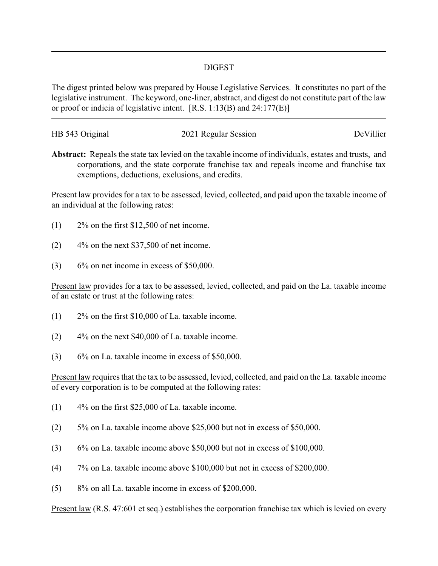## DIGEST

The digest printed below was prepared by House Legislative Services. It constitutes no part of the legislative instrument. The keyword, one-liner, abstract, and digest do not constitute part of the law or proof or indicia of legislative intent. [R.S. 1:13(B) and 24:177(E)]

| HB 543 Original | 2021 Regular Session | DeVillier |
|-----------------|----------------------|-----------|
|                 |                      |           |

**Abstract:** Repeals the state tax levied on the taxable income of individuals, estates and trusts, and corporations, and the state corporate franchise tax and repeals income and franchise tax exemptions, deductions, exclusions, and credits.

Present law provides for a tax to be assessed, levied, collected, and paid upon the taxable income of an individual at the following rates:

- $(1)$  2\% on the first \$12,500 of net income.
- $(2)$  4% on the next \$37,500 of net income.
- $(3)$  6% on net income in excess of \$50,000.

Present law provides for a tax to be assessed, levied, collected, and paid on the La. taxable income of an estate or trust at the following rates:

- (1) 2% on the first \$10,000 of La. taxable income.
- (2) 4% on the next \$40,000 of La. taxable income.
- (3) 6% on La. taxable income in excess of \$50,000.

Present law requires that the tax to be assessed, levied, collected, and paid on the La. taxable income of every corporation is to be computed at the following rates:

- $(1)$  4% on the first \$25,000 of La. taxable income.
- (2) 5% on La. taxable income above \$25,000 but not in excess of \$50,000.
- (3) 6% on La. taxable income above \$50,000 but not in excess of \$100,000.
- (4) 7% on La. taxable income above \$100,000 but not in excess of \$200,000.
- (5) 8% on all La. taxable income in excess of \$200,000.

Present law (R.S. 47:601 et seq.) establishes the corporation franchise tax which is levied on every